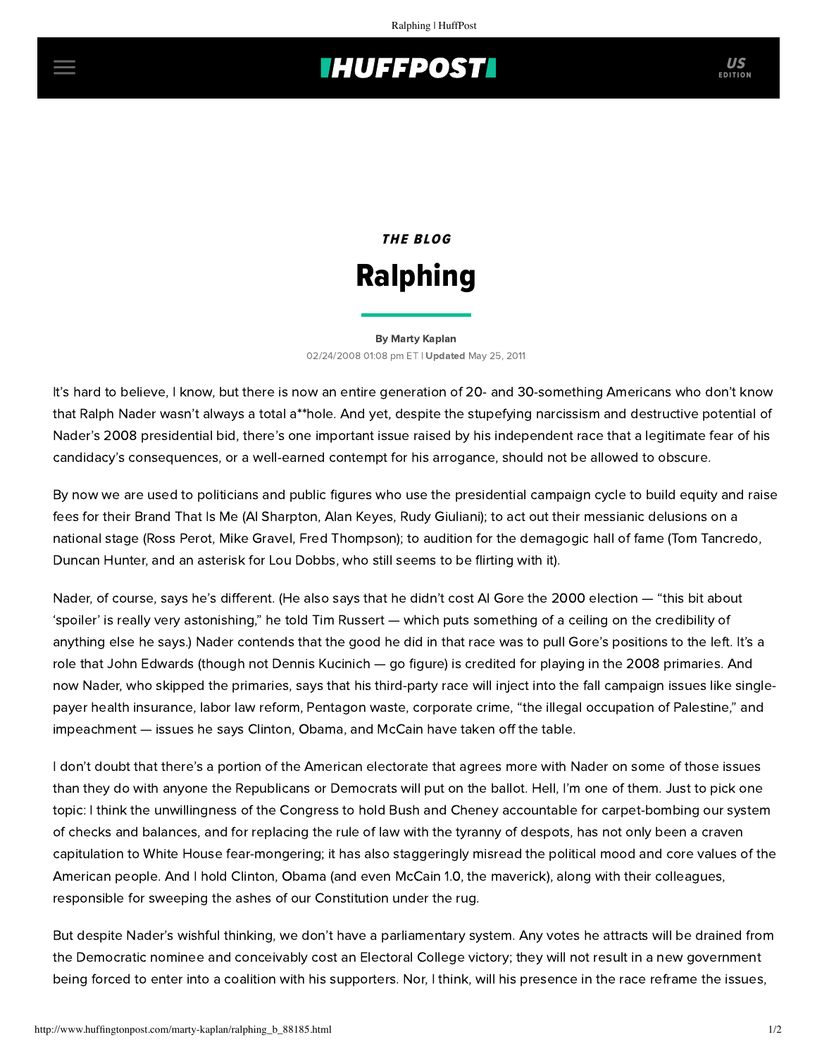## **THUFFPOST**

# THE BLOG Ralphing

### [By Marty Kaplan](http://www.huffingtonpost.com/author/marty-kaplan) 02/24/2008 01:08 pm ET | Updated May 25, 2011

It's hard to believe, I know, but there is now an entire generation of 20- and 30-something Americans who don't know that Ralph Nader wasn't always a total a\*\*hole. And yet, despite the stupefying narcissism and destructive potential of Nader's 2008 presidential bid, there's one important issue raised by his independent race that a legitimate fear of his candidacy's consequences, or a well-earned contempt for his arrogance, should not be allowed to obscure.

By now we are used to politicians and public figures who use the presidential campaign cycle to build equity and raise fees for their Brand That Is Me (Al Sharpton, Alan Keyes, Rudy Giuliani); to act out their messianic delusions on a national stage (Ross Perot, Mike Gravel, Fred Thompson); to audition for the demagogic hall of fame (Tom Tancredo, Duncan Hunter, and an asterisk for Lou Dobbs, who still seems to be flirting with it).

Nader, of course, says he's different. (He also says that he didn't cost Al Gore the 2000 election — "this bit about 'spoiler' is really very astonishing," he told Tim Russert — which puts something of a ceiling on the credibility of anything else he says.) Nader contends that the good he did in that race was to pull Gore's positions to the left. It's a role that John Edwards (though not Dennis Kucinich — go figure) is credited for playing in the 2008 primaries. And now Nader, who skipped the primaries, says that his third-party race will inject into the fall campaign issues like singlepayer health insurance, labor law reform, Pentagon waste, corporate crime, "the illegal occupation of Palestine," and impeachment — issues he says Clinton, Obama, and McCain have taken off the table.

I don't doubt that there's a portion of the American electorate that agrees more with Nader on some of those issues than they do with anyone the Republicans or Democrats will put on the ballot. Hell, I'm one of them. Just to pick one topic: I think the unwillingness of the Congress to hold Bush and Cheney accountable for carpet-bombing our system of checks and balances, and for replacing the rule of law with the tyranny of despots, has not only been a craven capitulation to White House fear-mongering; it has also staggeringly misread the political mood and core values of the American people. And I hold Clinton, Obama (and even McCain 1.0, the maverick), along with their colleagues, responsible for sweeping the ashes of our Constitution under the rug.

But despite Nader's wishful thinking, we don't have a parliamentary system. Any votes he attracts will be drained from the Democratic nominee and conceivably cost an Electoral College victory; they will not result in a new government being forced to enter into a coalition with his supporters. Nor, I think, will his presence in the race reframe the issues,